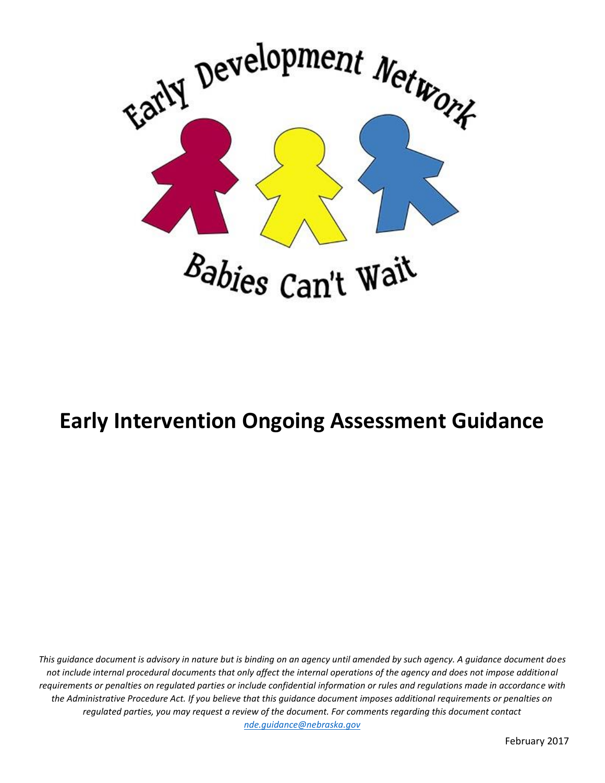

# **Early Intervention Ongoing Assessment Guidance**

*This guidance document is advisory in nature but is binding on an agency until amended by such agency. A guidance document does not include internal procedural documents that only affect the internal operations of the agency and does not impose additional requirements or penalties on regulated parties or include confidential information or rules and regulations made in accordance with the Administrative Procedure Act. If you believe that this guidance document imposes additional requirements or penalties on regulated parties, you may request a review of the document. For comments regarding this document contact [nde.guidance@nebraska.gov](mailto:nde.guidance@nebraska.gov)*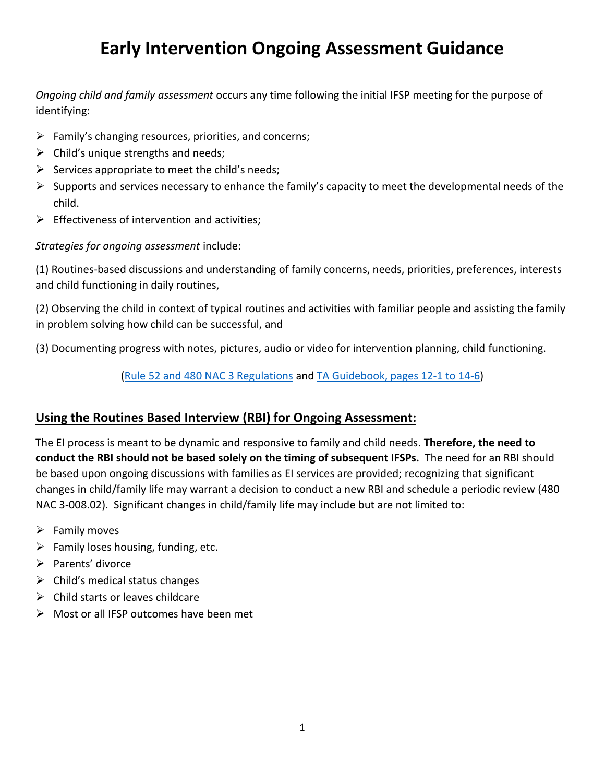## **Early Intervention Ongoing Assessment Guidance**

*Ongoing child and family assessment* occurs any time following the initial IFSP meeting for the purpose of identifying:

- $\triangleright$  Family's changing resources, priorities, and concerns;
- $\triangleright$  Child's unique strengths and needs;
- $\triangleright$  Services appropriate to meet the child's needs;
- $\triangleright$  Supports and services necessary to enhance the family's capacity to meet the developmental needs of the child.
- $\triangleright$  Effectiveness of intervention and activities;

*Strategies for ongoing assessment* include:

(1) Routines-based discussions and understanding of family concerns, needs, priorities, preferences, interests and child functioning in daily routines,

(2) Observing the child in context of typical routines and activities with familiar people and assisting the family in problem solving how child can be successful, and

(3) Documenting progress with notes, pictures, audio or video for intervention planning, child functioning.

#### [\(Rule 52 and 480 NAC 3 Regulations](#page-5-0) and [TA Guidebook, pages 12-1 to 14-6\)](http://edn.ne.gov/cms/technical-assistance-guidebook)

### **Using the Routines Based Interview (RBI) for Ongoing Assessment:**

The EI process is meant to be dynamic and responsive to family and child needs. **Therefore, the need to conduct the RBI should not be based solely on the timing of subsequent IFSPs.** The need for an RBI should be based upon ongoing discussions with families as EI services are provided; recognizing that significant changes in child/family life may warrant a decision to conduct a new RBI and schedule a periodic review (480 NAC 3-008.02). Significant changes in child/family life may include but are not limited to:

- $\triangleright$  Family moves
- $\triangleright$  Family loses housing, funding, etc.
- $\triangleright$  Parents' divorce
- $\triangleright$  Child's medical status changes
- $\triangleright$  Child starts or leaves childcare
- Most or all IFSP outcomes have been met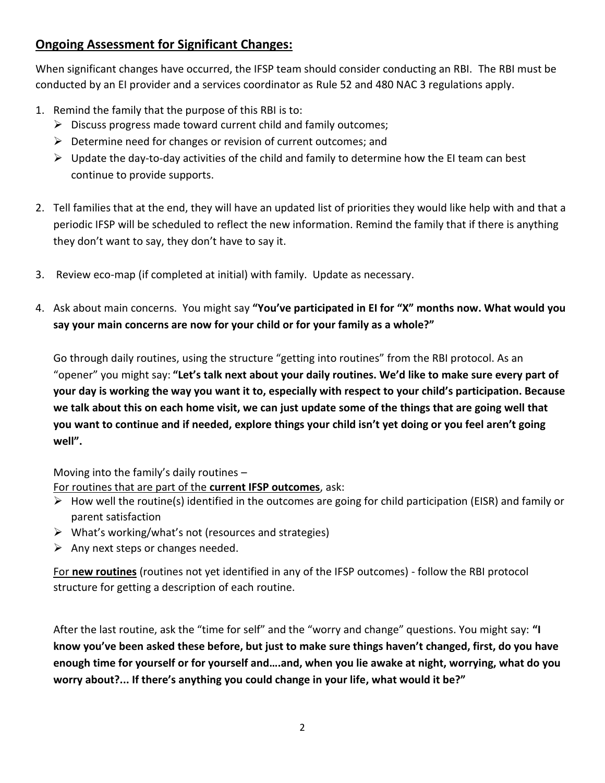## **Ongoing Assessment for Significant Changes:**

When significant changes have occurred, the IFSP team should consider conducting an RBI. The RBI must be conducted by an EI provider and a services coordinator as Rule 52 and 480 NAC 3 regulations apply.

- 1. Remind the family that the purpose of this RBI is to:
	- $\triangleright$  Discuss progress made toward current child and family outcomes;
	- $\triangleright$  Determine need for changes or revision of current outcomes; and
	- $\triangleright$  Update the day-to-day activities of the child and family to determine how the EI team can best continue to provide supports.
- 2. Tell families that at the end, they will have an updated list of priorities they would like help with and that a periodic IFSP will be scheduled to reflect the new information. Remind the family that if there is anything they don't want to say, they don't have to say it.
- 3. Review eco-map (if completed at initial) with family. Update as necessary.
- 4. Ask about main concerns. You might say **"You've participated in EI for "X" months now. What would you say your main concerns are now for your child or for your family as a whole?"**

Go through daily routines, using the structure "getting into routines" from the RBI protocol. As an "opener" you might say: **"Let's talk next about your daily routines. We'd like to make sure every part of your day is working the way you want it to, especially with respect to your child's participation. Because we talk about this on each home visit, we can just update some of the things that are going well that you want to continue and if needed, explore things your child isn't yet doing or you feel aren't going well".** 

Moving into the family's daily routines –

For routines that are part of the **current IFSP outcomes**, ask:

- $\triangleright$  How well the routine(s) identified in the outcomes are going for child participation (EISR) and family or parent satisfaction
- $\triangleright$  What's working/what's not (resources and strategies)
- $\triangleright$  Any next steps or changes needed.

For **new routines** (routines not yet identified in any of the IFSP outcomes) - follow the RBI protocol structure for getting a description of each routine.

After the last routine, ask the "time for self" and the "worry and change" questions. You might say: **"I know you've been asked these before, but just to make sure things haven't changed, first, do you have enough time for yourself or for yourself and….and, when you lie awake at night, worrying, what do you worry about?... If there's anything you could change in your life, what would it be?"**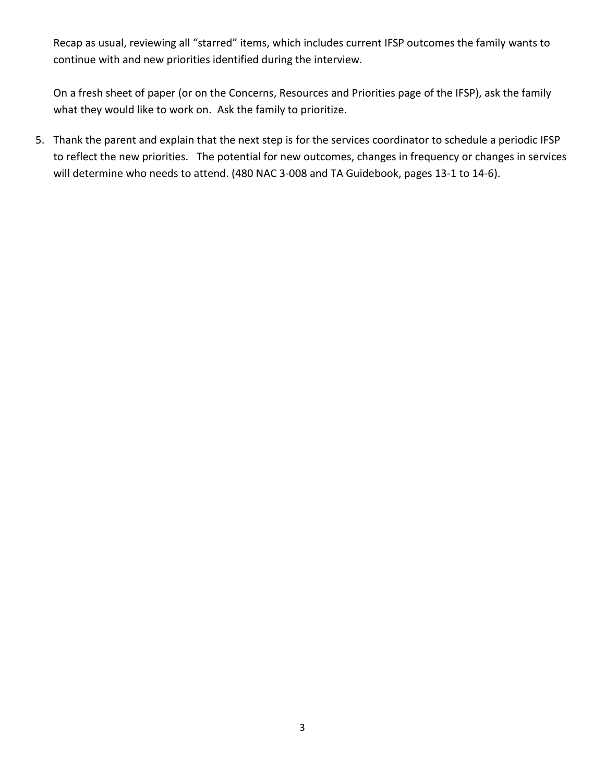Recap as usual, reviewing all "starred" items, which includes current IFSP outcomes the family wants to continue with and new priorities identified during the interview.

On a fresh sheet of paper (or on the Concerns, Resources and Priorities page of the IFSP), ask the family what they would like to work on. Ask the family to prioritize.

5. Thank the parent and explain that the next step is for the services coordinator to schedule a periodic IFSP to reflect the new priorities. The potential for new outcomes, changes in frequency or changes in services will determine who needs to attend. (480 NAC 3-008 and TA Guidebook, pages 13-1 to 14-6).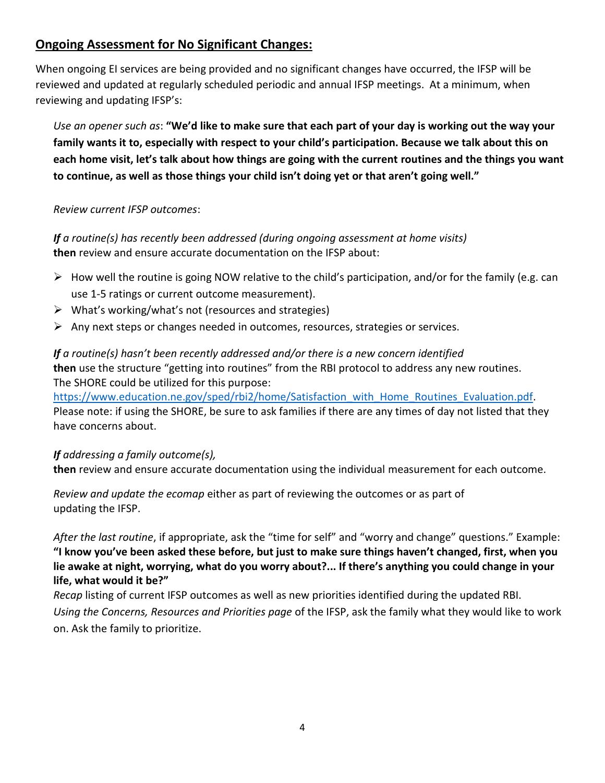## **Ongoing Assessment for No Significant Changes:**

When ongoing EI services are being provided and no significant changes have occurred, the IFSP will be reviewed and updated at regularly scheduled periodic and annual IFSP meetings. At a minimum, when reviewing and updating IFSP's:

*Use an opener such as*: **"We'd like to make sure that each part of your day is working out the way your family wants it to, especially with respect to your child's participation. Because we talk about this on each home visit, let's talk about how things are going with the current routines and the things you want to continue, as well as those things your child isn't doing yet or that aren't going well."**

#### *Review current IFSP outcomes*:

*If a routine(s) has recently been addressed (during ongoing assessment at home visits)* **then** review and ensure accurate documentation on the IFSP about:

- $\triangleright$  How well the routine is going NOW relative to the child's participation, and/or for the family (e.g. can use 1-5 ratings or current outcome measurement).
- $\triangleright$  What's working/what's not (resources and strategies)
- $\triangleright$  Any next steps or changes needed in outcomes, resources, strategies or services.

*If a routine(s) hasn't been recently addressed and/or there is a new concern identified* **then** use the structure "getting into routines" from the RBI protocol to address any new routines. The SHORE could be utilized for this purpose:

[https://www.education.ne.gov/sped/rbi2/home/Satisfaction\\_with\\_Home\\_Routines\\_Evaluation.pdf.](https://www.education.ne.gov/sped/rbi2/home/Satisfaction_with_Home_Routines_Evaluation.pdf) Please note: if using the SHORE, be sure to ask families if there are any times of day not listed that they have concerns about.

#### *If addressing a family outcome(s),*

**then** review and ensure accurate documentation using the individual measurement for each outcome.

*Review and update the ecomap* either as part of reviewing the outcomes or as part of updating the IFSP.

*After the last routine*, if appropriate, ask the "time for self" and "worry and change" questions." Example: **"I know you've been asked these before, but just to make sure things haven't changed, first, when you lie awake at night, worrying, what do you worry about?... If there's anything you could change in your life, what would it be?"**

*Recap* listing of current IFSP outcomes as well as new priorities identified during the updated RBI. *Using the Concerns, Resources and Priorities page* of the IFSP, ask the family what they would like to work on. Ask the family to prioritize.